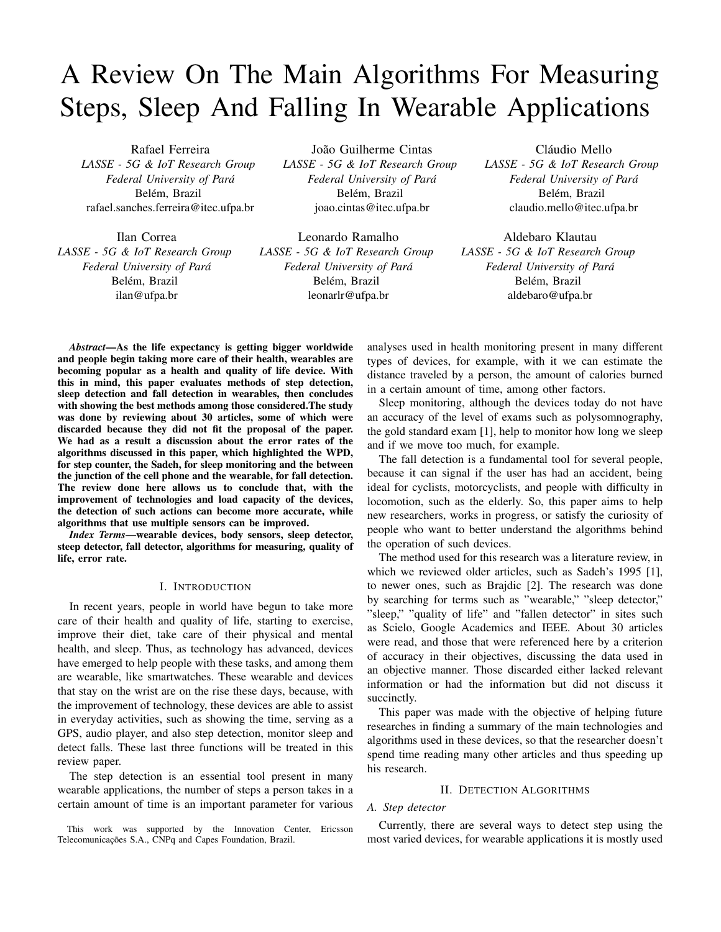# A Review On The Main Algorithms For Measuring Steps, Sleep And Falling In Wearable Applications

Rafael Ferreira *LASSE - 5G & IoT Research Group Federal University of Para´* Belém, Brazil rafael.sanches.ferreira@itec.ufpa.br

Ilan Correa *LASSE - 5G & IoT Research Group Federal University of Para´* Belém, Brazil ilan@ufpa.br

João Guilherme Cintas *LASSE - 5G & IoT Research Group Federal University of Para´* Belém, Brazil joao.cintas@itec.ufpa.br

Leonardo Ramalho *LASSE - 5G & IoT Research Group Federal University of Para´* Belém, Brazil leonarlr@ufpa.br

Cláudio Mello *LASSE - 5G & IoT Research Group Federal University of Para´* Belém, Brazil claudio.mello@itec.ufpa.br

Aldebaro Klautau *LASSE - 5G & IoT Research Group Federal University of Para´* Belém, Brazil aldebaro@ufpa.br

*Abstract*—As the life expectancy is getting bigger worldwide and people begin taking more care of their health, wearables are becoming popular as a health and quality of life device. With this in mind, this paper evaluates methods of step detection, sleep detection and fall detection in wearables, then concludes with showing the best methods among those considered.The study was done by reviewing about 30 articles, some of which were discarded because they did not fit the proposal of the paper. We had as a result a discussion about the error rates of the algorithms discussed in this paper, which highlighted the WPD, for step counter, the Sadeh, for sleep monitoring and the between the junction of the cell phone and the wearable, for fall detection. The review done here allows us to conclude that, with the improvement of technologies and load capacity of the devices, the detection of such actions can become more accurate, while algorithms that use multiple sensors can be improved.

*Index Terms*—wearable devices, body sensors, sleep detector, steep detector, fall detector, algorithms for measuring, quality of life, error rate.

#### I. INTRODUCTION

In recent years, people in world have begun to take more care of their health and quality of life, starting to exercise, improve their diet, take care of their physical and mental health, and sleep. Thus, as technology has advanced, devices have emerged to help people with these tasks, and among them are wearable, like smartwatches. These wearable and devices that stay on the wrist are on the rise these days, because, with the improvement of technology, these devices are able to assist in everyday activities, such as showing the time, serving as a GPS, audio player, and also step detection, monitor sleep and detect falls. These last three functions will be treated in this review paper.

The step detection is an essential tool present in many wearable applications, the number of steps a person takes in a certain amount of time is an important parameter for various

This work was supported by the Innovation Center, Ericsson Telecomunicações S.A., CNPq and Capes Foundation, Brazil.

analyses used in health monitoring present in many different types of devices, for example, with it we can estimate the distance traveled by a person, the amount of calories burned in a certain amount of time, among other factors.

Sleep monitoring, although the devices today do not have an accuracy of the level of exams such as polysomnography, the gold standard exam [1], help to monitor how long we sleep and if we move too much, for example.

The fall detection is a fundamental tool for several people, because it can signal if the user has had an accident, being ideal for cyclists, motorcyclists, and people with difficulty in locomotion, such as the elderly. So, this paper aims to help new researchers, works in progress, or satisfy the curiosity of people who want to better understand the algorithms behind the operation of such devices.

The method used for this research was a literature review, in which we reviewed older articles, such as Sadeh's 1995 [1], to newer ones, such as Brajdic [2]. The research was done by searching for terms such as "wearable," "sleep detector," "sleep," "quality of life" and "fallen detector" in sites such as Scielo, Google Academics and IEEE. About 30 articles were read, and those that were referenced here by a criterion of accuracy in their objectives, discussing the data used in an objective manner. Those discarded either lacked relevant information or had the information but did not discuss it succinctly.

This paper was made with the objective of helping future researches in finding a summary of the main technologies and algorithms used in these devices, so that the researcher doesn't spend time reading many other articles and thus speeding up his research.

## II. DETECTION ALGORITHMS

# *A. Step detector*

Currently, there are several ways to detect step using the most varied devices, for wearable applications it is mostly used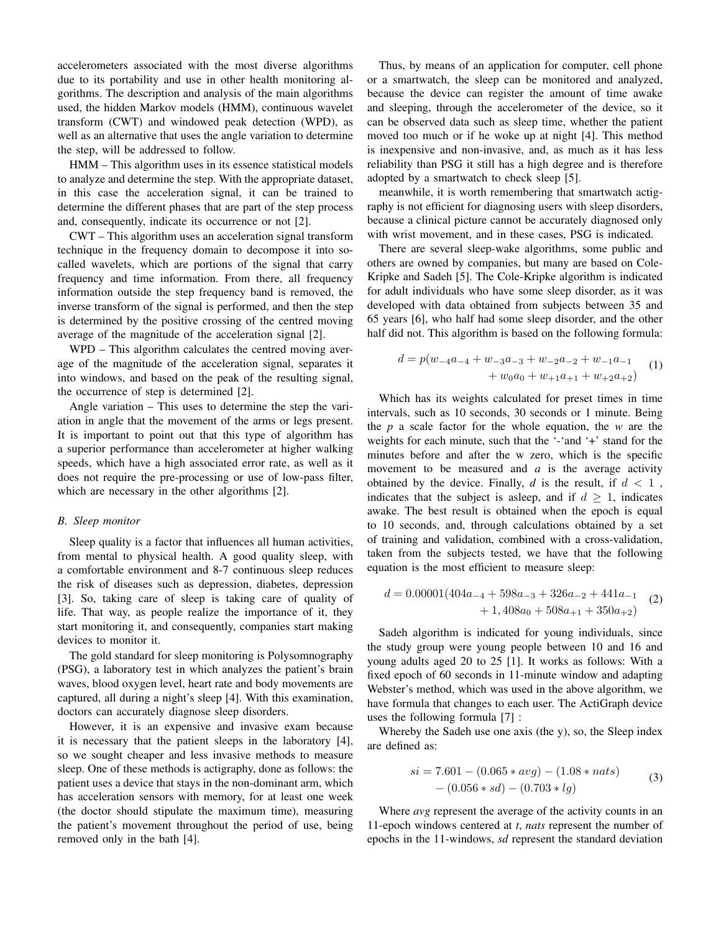accelerometers associated with the most diverse algorithms due to its portability and use in other health monitoring algorithms. The description and analysis of the main algorithms used, the hidden Markov models (HMM), continuous wavelet transform (CWT) and windowed peak detection (WPD), as well as an alternative that uses the angle variation to determine the step, will be addressed to follow.

HMM – This algorithm uses in its essence statistical models to analyze and determine the step. With the appropriate dataset, in this case the acceleration signal, it can be trained to determine the different phases that are part of the step process and, consequently, indicate its occurrence or not [2].

CWT – This algorithm uses an acceleration signal transform technique in the frequency domain to decompose it into socalled wavelets, which are portions of the signal that carry frequency and time information. From there, all frequency information outside the step frequency band is removed, the inverse transform of the signal is performed, and then the step is determined by the positive crossing of the centred moving average of the magnitude of the acceleration signal [2].

WPD – This algorithm calculates the centred moving average of the magnitude of the acceleration signal, separates it into windows, and based on the peak of the resulting signal, the occurrence of step is determined [2].

Angle variation – This uses to determine the step the variation in angle that the movement of the arms or legs present. It is important to point out that this type of algorithm has a superior performance than accelerometer at higher walking speeds, which have a high associated error rate, as well as it does not require the pre-processing or use of low-pass filter, which are necessary in the other algorithms [2].

#### *B. Sleep monitor*

Sleep quality is a factor that influences all human activities, from mental to physical health. A good quality sleep, with a comfortable environment and 8-7 continuous sleep reduces the risk of diseases such as depression, diabetes, depression [3]. So, taking care of sleep is taking care of quality of life. That way, as people realize the importance of it, they start monitoring it, and consequently, companies start making devices to monitor it.

The gold standard for sleep monitoring is Polysomnography (PSG), a laboratory test in which analyzes the patient's brain waves, blood oxygen level, heart rate and body movements are captured, all during a night's sleep [4]. With this examination, doctors can accurately diagnose sleep disorders.

However, it is an expensive and invasive exam because it is necessary that the patient sleeps in the laboratory [4], so we sought cheaper and less invasive methods to measure sleep. One of these methods is actigraphy, done as follows: the patient uses a device that stays in the non-dominant arm, which has acceleration sensors with memory, for at least one week (the doctor should stipulate the maximum time), measuring the patient's movement throughout the period of use, being removed only in the bath [4].

Thus, by means of an application for computer, cell phone or a smartwatch, the sleep can be monitored and analyzed, because the device can register the amount of time awake and sleeping, through the accelerometer of the device, so it can be observed data such as sleep time, whether the patient moved too much or if he woke up at night [4]. This method is inexpensive and non-invasive, and, as much as it has less reliability than PSG it still has a high degree and is therefore adopted by a smartwatch to check sleep [5].

meanwhile, it is worth remembering that smartwatch actigraphy is not efficient for diagnosing users with sleep disorders, because a clinical picture cannot be accurately diagnosed only with wrist movement, and in these cases, PSG is indicated.

There are several sleep-wake algorithms, some public and others are owned by companies, but many are based on Cole-Kripke and Sadeh [5]. The Cole-Kripke algorithm is indicated for adult individuals who have some sleep disorder, as it was developed with data obtained from subjects between 35 and 65 years [6], who half had some sleep disorder, and the other half did not. This algorithm is based on the following formula:

$$
d = p(w_{-4}a_{-4} + w_{-3}a_{-3} + w_{-2}a_{-2} + w_{-1}a_{-1}+ w_0a_0 + w_{+1}a_{+1} + w_{+2}a_{+2})
$$
 (1)

Which has its weights calculated for preset times in time intervals, such as 10 seconds, 30 seconds or 1 minute. Being the *p* a scale factor for the whole equation, the *w* are the weights for each minute, such that the '-'and '+' stand for the minutes before and after the w zero, which is the specific movement to be measured and *a* is the average activity obtained by the device. Finally,  $d$  is the result, if  $d < 1$ , indicates that the subject is asleep, and if  $d \geq 1$ , indicates awake. The best result is obtained when the epoch is equal to 10 seconds, and, through calculations obtained by a set of training and validation, combined with a cross-validation, taken from the subjects tested, we have that the following equation is the most efficient to measure sleep:

$$
d = 0.00001(404a_{-4} + 598a_{-3} + 326a_{-2} + 441a_{-1}+ 1,408a_0 + 508a_{+1} + 350a_{+2})
$$
 (2)

Sadeh algorithm is indicated for young individuals, since the study group were young people between 10 and 16 and young adults aged 20 to 25 [1]. It works as follows: With a fixed epoch of 60 seconds in 11-minute window and adapting Webster's method, which was used in the above algorithm, we have formula that changes to each user. The ActiGraph device uses the following formula [7] :

Whereby the Sadeh use one axis (the y), so, the Sleep index are defined as:

$$
si = 7.601 - (0.065 * avg) - (1.08 * nats)
$$
  
- (0.056 \* sd) - (0.703 \* lg) (3)

Where *avg* represent the average of the activity counts in an 11-epoch windows centered at *t*, *nats* represent the number of epochs in the 11-windows, *sd* represent the standard deviation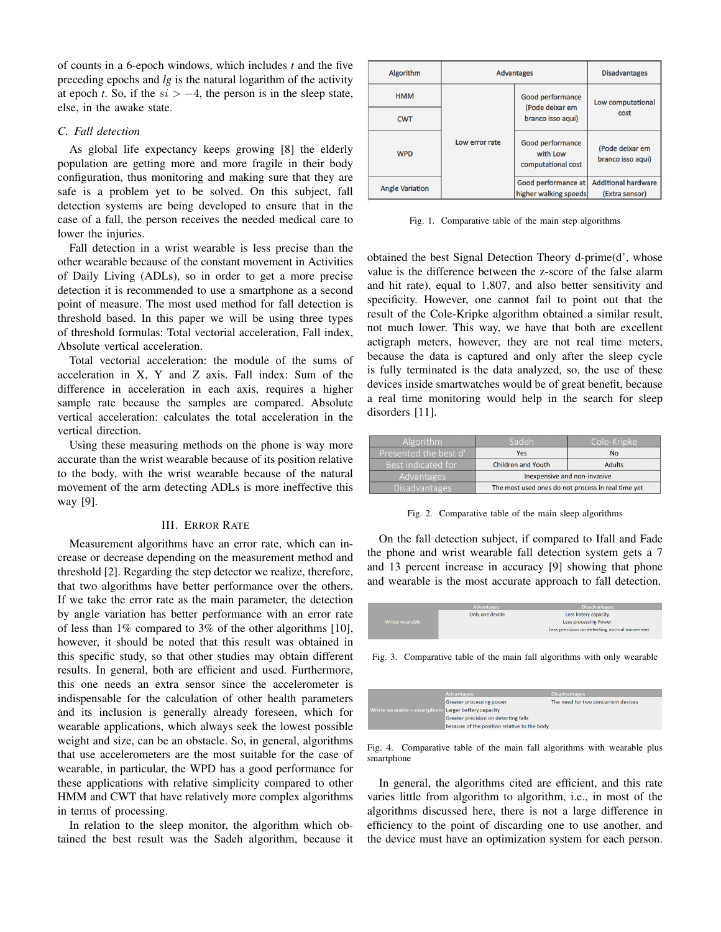of counts in a 6-epoch windows, which includes *t* and the five preceding epochs and *lg* is the natural logarithm of the activity at epoch *t*. So, if the  $si$  > −4, the person is in the sleep state, else, in the awake state.

## *C. Fall detection*

As global life expectancy keeps growing [8] the elderly population are getting more and more fragile in their body configuration, thus monitoring and making sure that they are safe is a problem yet to be solved. On this subject, fall detection systems are being developed to ensure that in the case of a fall, the person receives the needed medical care to lower the injuries.

Fall detection in a wrist wearable is less precise than the other wearable because of the constant movement in Activities of Daily Living (ADLs), so in order to get a more precise detection it is recommended to use a smartphone as a second point of measure. The most used method for fall detection is threshold based. In this paper we will be using three types of threshold formulas: Total vectorial acceleration, Fall index, Absolute vertical acceleration.

Total vectorial acceleration: the module of the sums of acceleration in X, Y and Z axis. Fall index: Sum of the difference in acceleration in each axis, requires a higher sample rate because the samples are compared. Absolute vertical acceleration: calculates the total acceleration in the vertical direction.

Using these measuring methods on the phone is way more accurate than the wrist wearable because of its position relative to the body, with the wrist wearable because of the natural movement of the arm detecting ADLs is more ineffective this way [9].

#### III. ERROR RATE

Measurement algorithms have an error rate, which can increase or decrease depending on the measurement method and threshold [2]. Regarding the step detector we realize, therefore, that two algorithms have better performance over the others. If we take the error rate as the main parameter, the detection by angle variation has better performance with an error rate of less than 1% compared to 3% of the other algorithms [10], however, it should be noted that this result was obtained in this specific study, so that other studies may obtain different results. In general, both are efficient and used. Furthermore, this one needs an extra sensor since the accelerometer is indispensable for the calculation of other health parameters and its inclusion is generally already foreseen, which for wearable applications, which always seek the lowest possible weight and size, can be an obstacle. So, in general, algorithms that use accelerometers are the most suitable for the case of wearable, in particular, the WPD has a good performance for these applications with relative simplicity compared to other HMM and CWT that have relatively more complex algorithms in terms of processing.

In relation to the sleep monitor, the algorithm which obtained the best result was the Sadeh algorithm, because it

| Algorithm              | <b>Advantages</b> |                                                          | <b>Disadvantages</b>                         |
|------------------------|-------------------|----------------------------------------------------------|----------------------------------------------|
| <b>HMM</b>             |                   | Good performance<br>(Pode deixar em<br>branco isso aqui) | Low computational<br>cost                    |
| <b>CWT</b>             |                   |                                                          |                                              |
| <b>WPD</b>             | Low error rate    | Good performance<br>with Low<br>computational cost       | (Pode deixar em<br>branco isso aqui)         |
| <b>Angle Variation</b> |                   | Good performance at<br>higher walking speeds             | <b>Additional hardware</b><br>(Extra sensor) |

Fig. 1. Comparative table of the main step algorithms

obtained the best Signal Detection Theory d-prime(d', whose value is the difference between the z-score of the false alarm and hit rate), equal to 1.807, and also better sensitivity and specificity. However, one cannot fail to point out that the result of the Cole-Kripke algorithm obtained a similar result, not much lower. This way, we have that both are excellent actigraph meters, however, they are not real time meters, because the data is captured and only after the sleep cycle is fully terminated is the data analyzed, so, the use of these devices inside smartwatches would be of great benefit, because a real time monitoring would help in the search for sleep disorders [11].

| <b>Algorithm</b>      | Sadeh                                              | Cole-Kripke   |
|-----------------------|----------------------------------------------------|---------------|
| Presented the best d' | Yes                                                | No            |
| Best indicated for    | <b>Children and Youth</b>                          | <b>Adults</b> |
| Advantages            | Inexpensive and non-invasive                       |               |
| Disadvantages         | The most used ones do not process in real time yet |               |

Fig. 2. Comparative table of the main sleep algorithms

On the fall detection subject, if compared to Ifall and Fade the phone and wrist wearable fall detection system gets a 7 and 13 percent increase in accuracy [9] showing that phone and wearable is the most accurate approach to fall detection.

|                 | <b>Advantages:</b> | <b>Disadvantages:</b>                       |
|-----------------|--------------------|---------------------------------------------|
|                 | Only one devide    | Less batery capacity                        |
| Wriste wearable |                    | <b>Less processing Power</b>                |
|                 |                    | Less precision on detecting normal movement |
|                 |                    |                                             |

Fig. 3. Comparative table of the main fall algorithms with only wearable

|                                                      | Advantages:                                  | <b>Disadvantages</b>                |
|------------------------------------------------------|----------------------------------------------|-------------------------------------|
|                                                      | Greater processing power                     | The need for two concurrent devices |
| Wriste wearable + smartphone Larger battery capacity |                                              |                                     |
|                                                      | Greater precision on detecting falls         |                                     |
|                                                      | because of the position relative to the body |                                     |

Fig. 4. Comparative table of the main fall algorithms with wearable plus smartphone

In general, the algorithms cited are efficient, and this rate varies little from algorithm to algorithm, i.e., in most of the algorithms discussed here, there is not a large difference in efficiency to the point of discarding one to use another, and the device must have an optimization system for each person.